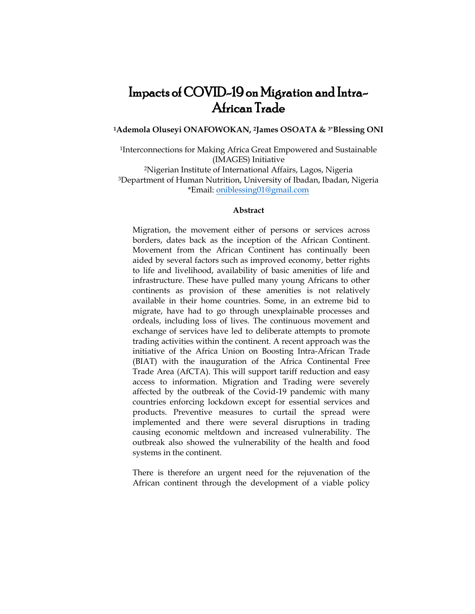# Impacts of COVID-19 on Migration and Intra-African Trade

**<sup>1</sup>Ademola Oluseyi ONAFOWOKAN, 2James OSOATA & 3\*Blessing ONI** 

<sup>1</sup>Interconnections for Making Africa Great Empowered and Sustainable (IMAGES) Initiative <sup>2</sup>Nigerian Institute of International Affairs, Lagos, Nigeria <sup>3</sup>Department of Human Nutrition, University of Ibadan, Ibadan, Nigeria \*Email[: oniblessing01@gmail.com](mailto:oniblessing01@gmail.com)

## **Abstract**

Migration, the movement either of persons or services across borders, dates back as the inception of the African Continent. Movement from the African Continent has continually been aided by several factors such as improved economy, better rights to life and livelihood, availability of basic amenities of life and infrastructure. These have pulled many young Africans to other continents as provision of these amenities is not relatively available in their home countries. Some, in an extreme bid to migrate, have had to go through unexplainable processes and ordeals, including loss of lives. The continuous movement and exchange of services have led to deliberate attempts to promote trading activities within the continent. A recent approach was the initiative of the Africa Union on Boosting Intra-African Trade (BIAT) with the inauguration of the Africa Continental Free Trade Area (AfCTA). This will support tariff reduction and easy access to information. Migration and Trading were severely affected by the outbreak of the Covid-19 pandemic with many countries enforcing lockdown except for essential services and products. Preventive measures to curtail the spread were implemented and there were several disruptions in trading causing economic meltdown and increased vulnerability. The outbreak also showed the vulnerability of the health and food systems in the continent.

There is therefore an urgent need for the rejuvenation of the African continent through the development of a viable policy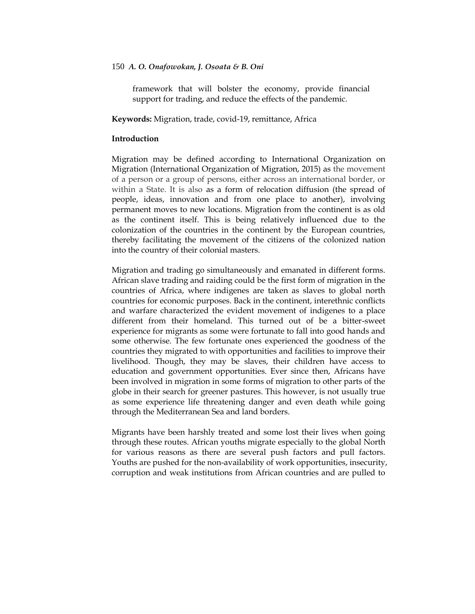framework that will bolster the economy, provide financial support for trading, and reduce the effects of the pandemic.

**Keywords:** Migration, trade, covid-19, remittance, Africa

## **Introduction**

Migration may be defined according to International Organization on Migration (International Organization of Migration, 2015) as the movement of a person or a group of persons, either across an international border, or within a State. It is also as a form of relocation diffusion (the spread of people, ideas, innovation and from one place to another), involving permanent moves to new locations. Migration from the continent is as old as the continent itself. This is being relatively influenced due to the colonization of the countries in the continent by the European countries, thereby facilitating the movement of the citizens of the colonized nation into the country of their colonial masters.

Migration and trading go simultaneously and emanated in different forms. African slave trading and raiding could be the first form of migration in the countries of Africa, where indigenes are taken as slaves to global north countries for economic purposes. Back in the continent, interethnic conflicts and warfare characterized the evident movement of indigenes to a place different from their homeland. This turned out of be a bitter-sweet experience for migrants as some were fortunate to fall into good hands and some otherwise. The few fortunate ones experienced the goodness of the countries they migrated to with opportunities and facilities to improve their livelihood. Though, they may be slaves, their children have access to education and government opportunities. Ever since then, Africans have been involved in migration in some forms of migration to other parts of the globe in their search for greener pastures. This however, is not usually true as some experience life threatening danger and even death while going through the Mediterranean Sea and land borders.

Migrants have been harshly treated and some lost their lives when going through these routes. African youths migrate especially to the global North for various reasons as there are several push factors and pull factors. Youths are pushed for the non-availability of work opportunities, insecurity, corruption and weak institutions from African countries and are pulled to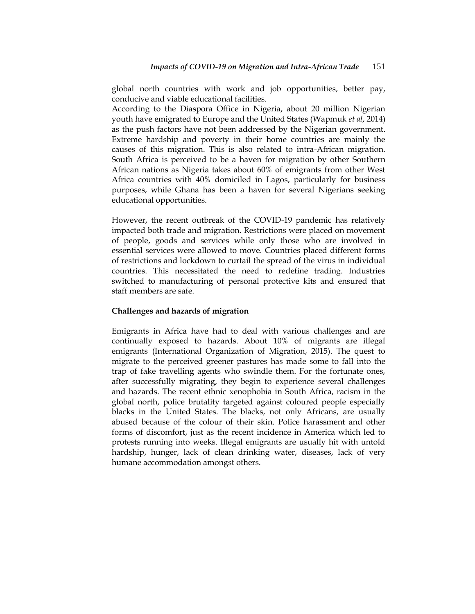global north countries with work and job opportunities, better pay, conducive and viable educational facilities.

According to the Diaspora Office in Nigeria, about 20 million Nigerian youth have emigrated to Europe and the United States (Wapmuk *et al*, 2014) as the push factors have not been addressed by the Nigerian government. Extreme hardship and poverty in their home countries are mainly the causes of this migration. This is also related to intra-African migration. South Africa is perceived to be a haven for migration by other Southern African nations as Nigeria takes about 60% of emigrants from other West Africa countries with 40% domiciled in Lagos, particularly for business purposes, while Ghana has been a haven for several Nigerians seeking educational opportunities.

However, the recent outbreak of the COVID-19 pandemic has relatively impacted both trade and migration. Restrictions were placed on movement of people, goods and services while only those who are involved in essential services were allowed to move. Countries placed different forms of restrictions and lockdown to curtail the spread of the virus in individual countries. This necessitated the need to redefine trading. Industries switched to manufacturing of personal protective kits and ensured that staff members are safe.

## **Challenges and hazards of migration**

Emigrants in Africa have had to deal with various challenges and are continually exposed to hazards. About 10% of migrants are illegal emigrants (International Organization of Migration, 2015). The quest to migrate to the perceived greener pastures has made some to fall into the trap of fake travelling agents who swindle them. For the fortunate ones, after successfully migrating, they begin to experience several challenges and hazards. The recent ethnic xenophobia in South Africa, racism in the global north, police brutality targeted against coloured people especially blacks in the United States. The blacks, not only Africans, are usually abused because of the colour of their skin. Police harassment and other forms of discomfort, just as the recent incidence in America which led to protests running into weeks. Illegal emigrants are usually hit with untold hardship, hunger, lack of clean drinking water, diseases, lack of very humane accommodation amongst others.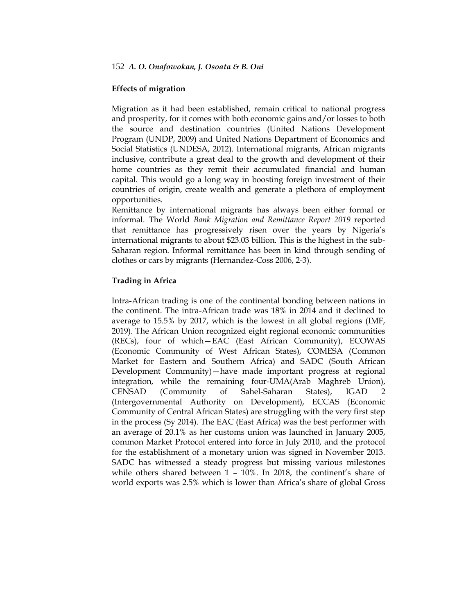# **Effects of migration**

Migration as it had been established, remain critical to national progress and prosperity, for it comes with both economic gains and/or losses to both the source and destination countries (United Nations Development Program (UNDP, 2009) and United Nations Department of Economics and Social Statistics (UNDESA, 2012). International migrants, African migrants inclusive, contribute a great deal to the growth and development of their home countries as they remit their accumulated financial and human capital. This would go a long way in boosting foreign investment of their countries of origin, create wealth and generate a plethora of employment opportunities.

Remittance by international migrants has always been either formal or informal. The World *Bank Migration and Remittance Report 2019* reported that remittance has progressively risen over the years by Nigeria's international migrants to about \$23.03 billion. This is the highest in the sub-Saharan region. Informal remittance has been in kind through sending of clothes or cars by migrants (Hernandez-Coss 2006, 2-3).

# **Trading in Africa**

Intra-African trading is one of the continental bonding between nations in the continent. The intra-African trade was 18% in 2014 and it declined to average to 15.5% by 2017, which is the lowest in all global regions (IMF, 2019). The African Union recognized eight regional economic communities (RECs), four of which—EAC (East African Community), ECOWAS (Economic Community of West African States), COMESA (Common Market for Eastern and Southern Africa) and SADC (South African Development Community)—have made important progress at regional integration, while the remaining four-UMA(Arab Maghreb Union), CENSAD (Community of Sahel-Saharan States), IGAD 2 (Intergovernmental Authority on Development), ECCAS (Economic Community of Central African States) are struggling with the very first step in the process (Sy 2014). The EAC (East Africa) was the best performer with an average of 20.1% as her customs union was launched in January 2005, common Market Protocol entered into force in July 2010, and the protocol for the establishment of a monetary union was signed in November 2013. SADC has witnessed a steady progress but missing various milestones while others shared between 1 – 10%. In 2018, the continent's share of world exports was 2.5% which is lower than Africa's share of global Gross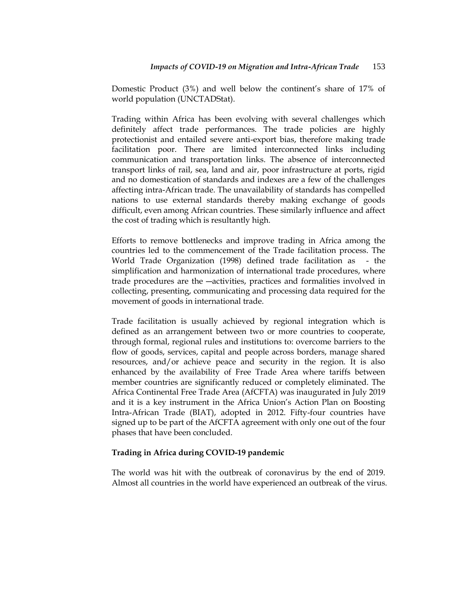Domestic Product (3%) and well below the continent's share of 17% of world population (UNCTADStat).

Trading within Africa has been evolving with several challenges which definitely affect trade performances. The trade policies are highly protectionist and entailed severe anti-export bias, therefore making trade facilitation poor. There are limited interconnected links including communication and transportation links. The absence of interconnected transport links of rail, sea, land and air, poor infrastructure at ports, rigid and no domestication of standards and indexes are a few of the challenges affecting intra-African trade. The unavailability of standards has compelled nations to use external standards thereby making exchange of goods difficult, even among African countries. These similarly influence and affect the cost of trading which is resultantly high.

Efforts to remove bottlenecks and improve trading in Africa among the countries led to the commencement of the Trade facilitation process. The World Trade Organization (1998) defined trade facilitation as - the simplification and harmonization of international trade procedures, where trade procedures are the ―activities, practices and formalities involved in collecting, presenting, communicating and processing data required for the movement of goods in international trade.

Trade facilitation is usually achieved by regional integration which is defined as an arrangement between two or more countries to cooperate, through formal, regional rules and institutions to: overcome barriers to the flow of goods, services, capital and people across borders, manage shared resources, and/or achieve peace and security in the region. It is also enhanced by the availability of Free Trade Area where tariffs between member countries are significantly reduced or completely eliminated. The Africa Continental Free Trade Area (AfCFTA) was inaugurated in July 2019 and it is a key instrument in the Africa Union's Action Plan on Boosting Intra-African Trade (BIAT), adopted in 2012. Fifty-four countries have signed up to be part of the AfCFTA agreement with only one out of the four phases that have been concluded.

## **Trading in Africa during COVID-19 pandemic**

The world was hit with the outbreak of coronavirus by the end of 2019. Almost all countries in the world have experienced an outbreak of the virus.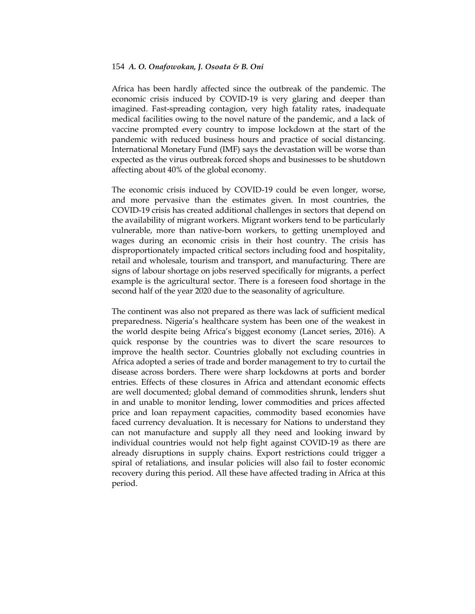Africa has been hardly affected since the outbreak of the pandemic. The economic crisis induced by COVID-19 is very glaring and deeper than imagined. Fast-spreading contagion, very high fatality rates, inadequate medical facilities owing to the novel nature of the pandemic, and a lack of vaccine prompted every country to impose lockdown at the start of the pandemic with reduced business hours and practice of social distancing. International Monetary Fund (IMF) says the devastation will be worse than expected as the virus outbreak forced shops and businesses to be shutdown affecting about 40% of the global economy.

The economic crisis induced by COVID-19 could be even longer, worse, and more pervasive than the estimates given. In most countries, the COVID-19 crisis has created additional challenges in sectors that depend on the availability of migrant workers. Migrant workers tend to be particularly vulnerable, more than native-born workers, to getting unemployed and wages during an economic crisis in their host country. The crisis has disproportionately impacted critical sectors including food and hospitality, retail and wholesale, tourism and transport, and manufacturing. There are signs of labour shortage on jobs reserved specifically for migrants, a perfect example is the agricultural sector. There is a foreseen food shortage in the second half of the year 2020 due to the seasonality of agriculture.

The continent was also not prepared as there was lack of sufficient medical preparedness. Nigeria's healthcare system has been one of the weakest in the world despite being Africa's biggest economy (Lancet series, 2016). A quick response by the countries was to divert the scare resources to improve the health sector. Countries globally not excluding countries in Africa adopted a series of trade and border management to try to curtail the disease across borders. There were sharp lockdowns at ports and border entries. Effects of these closures in Africa and attendant economic effects are well documented; global demand of commodities shrunk, lenders shut in and unable to monitor lending, lower commodities and prices affected price and loan repayment capacities, commodity based economies have faced currency devaluation. It is necessary for Nations to understand they can not manufacture and supply all they need and looking inward by individual countries would not help fight against COVID-19 as there are already disruptions in supply chains. Export restrictions could trigger a spiral of retaliations, and insular policies will also fail to foster economic recovery during this period. All these have affected trading in Africa at this period.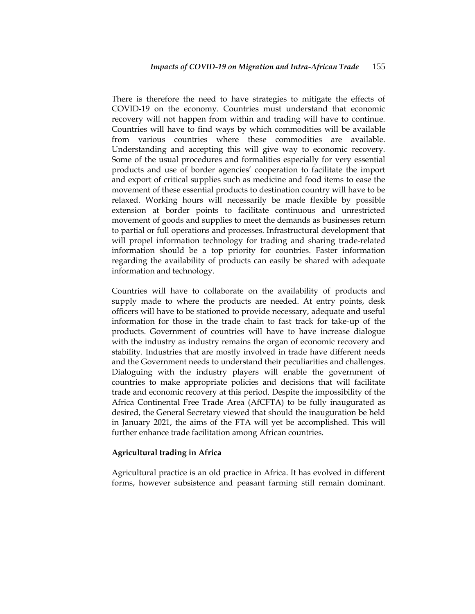There is therefore the need to have strategies to mitigate the effects of COVID-19 on the economy. Countries must understand that economic recovery will not happen from within and trading will have to continue. Countries will have to find ways by which commodities will be available from various countries where these commodities are available. Understanding and accepting this will give way to economic recovery. Some of the usual procedures and formalities especially for very essential products and use of border agencies' cooperation to facilitate the import and export of critical supplies such as medicine and food items to ease the movement of these essential products to destination country will have to be relaxed. Working hours will necessarily be made flexible by possible extension at border points to facilitate continuous and unrestricted movement of goods and supplies to meet the demands as businesses return to partial or full operations and processes. Infrastructural development that will propel information technology for trading and sharing trade-related information should be a top priority for countries. Faster information regarding the availability of products can easily be shared with adequate information and technology.

Countries will have to collaborate on the availability of products and supply made to where the products are needed. At entry points, desk officers will have to be stationed to provide necessary, adequate and useful information for those in the trade chain to fast track for take-up of the products. Government of countries will have to have increase dialogue with the industry as industry remains the organ of economic recovery and stability. Industries that are mostly involved in trade have different needs and the Government needs to understand their peculiarities and challenges. Dialoguing with the industry players will enable the government of countries to make appropriate policies and decisions that will facilitate trade and economic recovery at this period. Despite the impossibility of the Africa Continental Free Trade Area (AfCFTA) to be fully inaugurated as desired, the General Secretary viewed that should the inauguration be held in January 2021, the aims of the FTA will yet be accomplished. This will further enhance trade facilitation among African countries.

#### **Agricultural trading in Africa**

Agricultural practice is an old practice in Africa. It has evolved in different forms, however subsistence and peasant farming still remain dominant.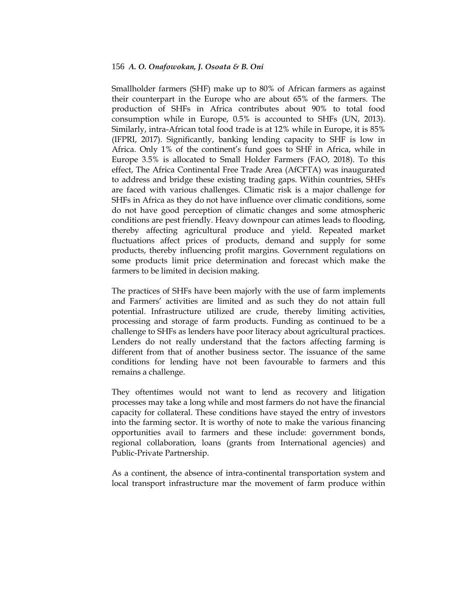Smallholder farmers (SHF) make up to 80% of African farmers as against their counterpart in the Europe who are about 65% of the farmers. The production of SHFs in Africa contributes about 90% to total food consumption while in Europe, 0.5% is accounted to SHFs (UN, 2013). Similarly, intra-African total food trade is at 12% while in Europe, it is 85% (IFPRI, 2017). Significantly, banking lending capacity to SHF is low in Africa. Only 1% of the continent's fund goes to SHF in Africa, while in Europe 3.5% is allocated to Small Holder Farmers (FAO, 2018). To this effect, The Africa Continental Free Trade Area (AfCFTA) was inaugurated to address and bridge these existing trading gaps. Within countries, SHFs are faced with various challenges. Climatic risk is a major challenge for SHFs in Africa as they do not have influence over climatic conditions, some do not have good perception of climatic changes and some atmospheric conditions are pest friendly. Heavy downpour can atimes leads to flooding, thereby affecting agricultural produce and yield. Repeated market fluctuations affect prices of products, demand and supply for some products, thereby influencing profit margins. Government regulations on some products limit price determination and forecast which make the farmers to be limited in decision making.

The practices of SHFs have been majorly with the use of farm implements and Farmers' activities are limited and as such they do not attain full potential. Infrastructure utilized are crude, thereby limiting activities, processing and storage of farm products. Funding as continued to be a challenge to SHFs as lenders have poor literacy about agricultural practices. Lenders do not really understand that the factors affecting farming is different from that of another business sector. The issuance of the same conditions for lending have not been favourable to farmers and this remains a challenge.

They oftentimes would not want to lend as recovery and litigation processes may take a long while and most farmers do not have the financial capacity for collateral. These conditions have stayed the entry of investors into the farming sector. It is worthy of note to make the various financing opportunities avail to farmers and these include: government bonds, regional collaboration, loans (grants from International agencies) and Public-Private Partnership.

As a continent, the absence of intra-continental transportation system and local transport infrastructure mar the movement of farm produce within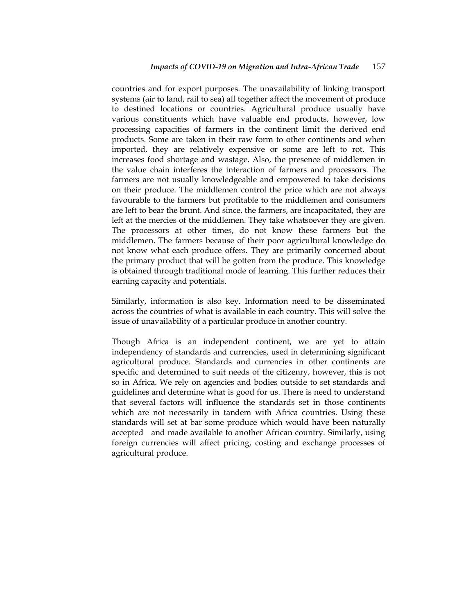countries and for export purposes. The unavailability of linking transport systems (air to land, rail to sea) all together affect the movement of produce to destined locations or countries. Agricultural produce usually have various constituents which have valuable end products, however, low processing capacities of farmers in the continent limit the derived end products. Some are taken in their raw form to other continents and when imported, they are relatively expensive or some are left to rot. This increases food shortage and wastage. Also, the presence of middlemen in the value chain interferes the interaction of farmers and processors. The farmers are not usually knowledgeable and empowered to take decisions on their produce. The middlemen control the price which are not always favourable to the farmers but profitable to the middlemen and consumers are left to bear the brunt. And since, the farmers, are incapacitated, they are left at the mercies of the middlemen. They take whatsoever they are given. The processors at other times, do not know these farmers but the middlemen. The farmers because of their poor agricultural knowledge do not know what each produce offers. They are primarily concerned about the primary product that will be gotten from the produce. This knowledge is obtained through traditional mode of learning. This further reduces their earning capacity and potentials.

Similarly, information is also key. Information need to be disseminated across the countries of what is available in each country. This will solve the issue of unavailability of a particular produce in another country.

Though Africa is an independent continent, we are yet to attain independency of standards and currencies, used in determining significant agricultural produce. Standards and currencies in other continents are specific and determined to suit needs of the citizenry, however, this is not so in Africa. We rely on agencies and bodies outside to set standards and guidelines and determine what is good for us. There is need to understand that several factors will influence the standards set in those continents which are not necessarily in tandem with Africa countries. Using these standards will set at bar some produce which would have been naturally accepted and made available to another African country. Similarly, using foreign currencies will affect pricing, costing and exchange processes of agricultural produce.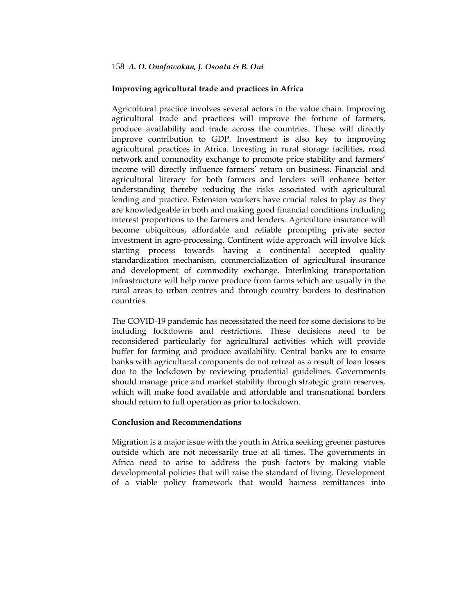# **Improving agricultural trade and practices in Africa**

Agricultural practice involves several actors in the value chain. Improving agricultural trade and practices will improve the fortune of farmers, produce availability and trade across the countries. These will directly improve contribution to GDP. Investment is also key to improving agricultural practices in Africa. Investing in rural storage facilities, road network and commodity exchange to promote price stability and farmers' income will directly influence farmers' return on business. Financial and agricultural literacy for both farmers and lenders will enhance better understanding thereby reducing the risks associated with agricultural lending and practice. Extension workers have crucial roles to play as they are knowledgeable in both and making good financial conditions including interest proportions to the farmers and lenders. Agriculture insurance will become ubiquitous, affordable and reliable prompting private sector investment in agro-processing. Continent wide approach will involve kick starting process towards having a continental accepted quality standardization mechanism, commercialization of agricultural insurance and development of commodity exchange. Interlinking transportation infrastructure will help move produce from farms which are usually in the rural areas to urban centres and through country borders to destination countries.

The COVID-19 pandemic has necessitated the need for some decisions to be including lockdowns and restrictions. These decisions need to be reconsidered particularly for agricultural activities which will provide buffer for farming and produce availability. Central banks are to ensure banks with agricultural components do not retreat as a result of loan losses due to the lockdown by reviewing prudential guidelines. Governments should manage price and market stability through strategic grain reserves, which will make food available and affordable and transnational borders should return to full operation as prior to lockdown.

## **Conclusion and Recommendations**

Migration is a major issue with the youth in Africa seeking greener pastures outside which are not necessarily true at all times. The governments in Africa need to arise to address the push factors by making viable developmental policies that will raise the standard of living. Development of a viable policy framework that would harness remittances into